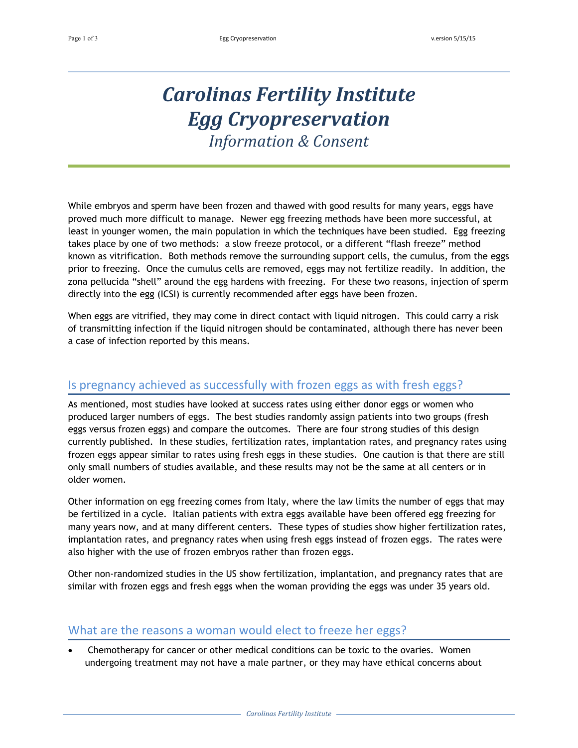# *Carolinas Fertility Institute Egg Cryopreservation*

*Information & Consent*

While embryos and sperm have been frozen and thawed with good results for many years, eggs have proved much more difficult to manage. Newer egg freezing methods have been more successful, at least in younger women, the main population in which the techniques have been studied. Egg freezing takes place by one of two methods: a slow freeze protocol, or a different "flash freeze" method known as vitrification. Both methods remove the surrounding support cells, the cumulus, from the eggs prior to freezing. Once the cumulus cells are removed, eggs may not fertilize readily. In addition, the zona pellucida "shell" around the egg hardens with freezing. For these two reasons, injection of sperm directly into the egg (ICSI) is currently recommended after eggs have been frozen.

When eggs are vitrified, they may come in direct contact with liquid nitrogen. This could carry a risk of transmitting infection if the liquid nitrogen should be contaminated, although there has never been a case of infection reported by this means.

### Is pregnancy achieved as successfully with frozen eggs as with fresh eggs?

As mentioned, most studies have looked at success rates using either donor eggs or women who produced larger numbers of eggs. The best studies randomly assign patients into two groups (fresh eggs versus frozen eggs) and compare the outcomes. There are four strong studies of this design currently published. In these studies, fertilization rates, implantation rates, and pregnancy rates using frozen eggs appear similar to rates using fresh eggs in these studies. One caution is that there are still only small numbers of studies available, and these results may not be the same at all centers or in older women.

Other information on egg freezing comes from Italy, where the law limits the number of eggs that may be fertilized in a cycle. Italian patients with extra eggs available have been offered egg freezing for many years now, and at many different centers. These types of studies show higher fertilization rates, implantation rates, and pregnancy rates when using fresh eggs instead of frozen eggs. The rates were also higher with the use of frozen embryos rather than frozen eggs.

Other non-randomized studies in the US show fertilization, implantation, and pregnancy rates that are similar with frozen eggs and fresh eggs when the woman providing the eggs was under 35 years old.

### What are the reasons a woman would elect to freeze her eggs?

 Chemotherapy for cancer or other medical conditions can be toxic to the ovaries. Women undergoing treatment may not have a male partner, or they may have ethical concerns about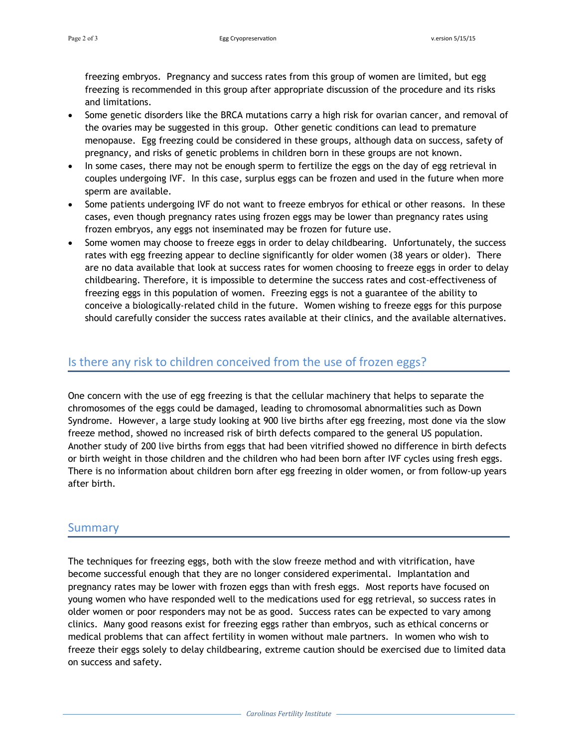freezing embryos. Pregnancy and success rates from this group of women are limited, but egg freezing is recommended in this group after appropriate discussion of the procedure and its risks and limitations.

- Some genetic disorders like the BRCA mutations carry a high risk for ovarian cancer, and removal of the ovaries may be suggested in this group. Other genetic conditions can lead to premature menopause. Egg freezing could be considered in these groups, although data on success, safety of pregnancy, and risks of genetic problems in children born in these groups are not known.
- In some cases, there may not be enough sperm to fertilize the eggs on the day of egg retrieval in couples undergoing IVF. In this case, surplus eggs can be frozen and used in the future when more sperm are available.
- Some patients undergoing IVF do not want to freeze embryos for ethical or other reasons. In these cases, even though pregnancy rates using frozen eggs may be lower than pregnancy rates using frozen embryos, any eggs not inseminated may be frozen for future use.
- Some women may choose to freeze eggs in order to delay childbearing. Unfortunately, the success rates with egg freezing appear to decline significantly for older women (38 years or older). There are no data available that look at success rates for women choosing to freeze eggs in order to delay childbearing. Therefore, it is impossible to determine the success rates and cost-effectiveness of freezing eggs in this population of women. Freezing eggs is not a guarantee of the ability to conceive a biologically-related child in the future. Women wishing to freeze eggs for this purpose should carefully consider the success rates available at their clinics, and the available alternatives.

## Is there any risk to children conceived from the use of frozen eggs?

One concern with the use of egg freezing is that the cellular machinery that helps to separate the chromosomes of the eggs could be damaged, leading to chromosomal abnormalities such as Down Syndrome. However, a large study looking at 900 live births after egg freezing, most done via the slow freeze method, showed no increased risk of birth defects compared to the general US population. Another study of 200 live births from eggs that had been vitrified showed no difference in birth defects or birth weight in those children and the children who had been born after IVF cycles using fresh eggs. There is no information about children born after egg freezing in older women, or from follow-up years after birth.

#### Summary

The techniques for freezing eggs, both with the slow freeze method and with vitrification, have become successful enough that they are no longer considered experimental. Implantation and pregnancy rates may be lower with frozen eggs than with fresh eggs. Most reports have focused on young women who have responded well to the medications used for egg retrieval, so success rates in older women or poor responders may not be as good. Success rates can be expected to vary among clinics. Many good reasons exist for freezing eggs rather than embryos, such as ethical concerns or medical problems that can affect fertility in women without male partners. In women who wish to freeze their eggs solely to delay childbearing, extreme caution should be exercised due to limited data on success and safety.